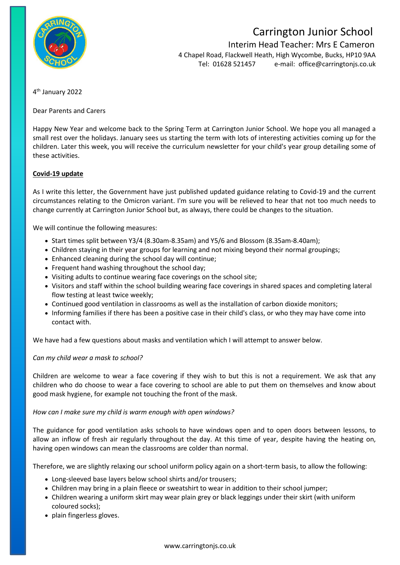

# Carrington Junior School

 Interim Head Teacher: Mrs E Cameron 4 Chapel Road, Flackwell Heath, High Wycombe, Bucks, HP10 9AA Tel: 01628 521457 e-mail: [office@carringtonjs.co.uk](mailto:office@carringtonjs.co.uk)

4 th January 2022

Dear Parents and Carers

Happy New Year and welcome back to the Spring Term at Carrington Junior School. We hope you all managed a small rest over the holidays. January sees us starting the term with lots of interesting activities coming up for the children. Later this week, you will receive the curriculum newsletter for your child's year group detailing some of these activities.

## **Covid-19 update**

As I write this letter, the Government have just published updated guidance relating to Covid-19 and the current circumstances relating to the Omicron variant. I'm sure you will be relieved to hear that not too much needs to change currently at Carrington Junior School but, as always, there could be changes to the situation.

We will continue the following measures:

- Start times split between Y3/4 (8.30am-8.35am) and Y5/6 and Blossom (8.35am-8.40am);
- Children staying in their year groups for learning and not mixing beyond their normal groupings;
- Enhanced cleaning during the school day will continue;
- Frequent hand washing throughout the school day;
- Visiting adults to continue wearing face coverings on the school site;
- Visitors and staff within the school building wearing face coverings in shared spaces and completing lateral flow testing at least twice weekly;
- Continued good ventilation in classrooms as well as the installation of carbon dioxide monitors;
- Informing families if there has been a positive case in their child's class, or who they may have come into contact with.

We have had a few questions about masks and ventilation which I will attempt to answer below.

#### *Can my child wear a mask to school?*

Children are welcome to wear a face covering if they wish to but this is not a requirement. We ask that any children who do choose to wear a face covering to school are able to put them on themselves and know about good mask hygiene, for example not touching the front of the mask.

#### *How can I make sure my child is warm enough with open windows?*

The guidance for good ventilation asks schools to have windows open and to open doors between lessons, to allow an inflow of fresh air regularly throughout the day. At this time of year, despite having the heating on, having open windows can mean the classrooms are colder than normal.

Therefore, we are slightly relaxing our school uniform policy again on a short-term basis, to allow the following:

- Long-sleeved base layers below school shirts and/or trousers;
- Children may bring in a plain fleece or sweatshirt to wear in addition to their school jumper;
- Children wearing a uniform skirt may wear plain grey or black leggings under their skirt (with uniform coloured socks);
- plain fingerless gloves.